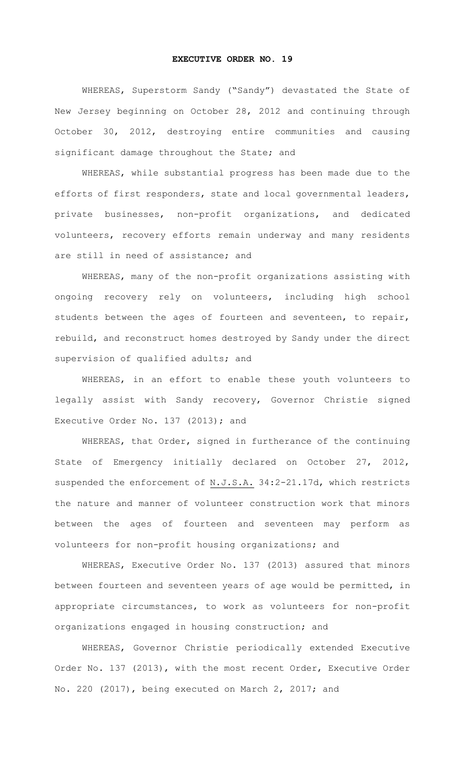## **EXECUTIVE ORDER NO. 19**

WHEREAS, Superstorm Sandy ("Sandy") devastated the State of New Jersey beginning on October 28, 2012 and continuing through October 30, 2012, destroying entire communities and causing significant damage throughout the State; and

WHEREAS, while substantial progress has been made due to the efforts of first responders, state and local governmental leaders, private businesses, non-profit organizations, and dedicated volunteers, recovery efforts remain underway and many residents are still in need of assistance; and

WHEREAS, many of the non-profit organizations assisting with ongoing recovery rely on volunteers, including high school students between the ages of fourteen and seventeen, to repair, rebuild, and reconstruct homes destroyed by Sandy under the direct supervision of qualified adults; and

WHEREAS, in an effort to enable these youth volunteers to legally assist with Sandy recovery, Governor Christie signed Executive Order No. 137 (2013); and

WHEREAS, that Order, signed in furtherance of the continuing State of Emergency initially declared on October 27, 2012, suspended the enforcement of N.J.S.A. 34:2-21.17d, which restricts the nature and manner of volunteer construction work that minors between the ages of fourteen and seventeen may perform as volunteers for non-profit housing organizations; and

WHEREAS, Executive Order No. 137 (2013) assured that minors between fourteen and seventeen years of age would be permitted, in appropriate circumstances, to work as volunteers for non-profit organizations engaged in housing construction; and

WHEREAS, Governor Christie periodically extended Executive Order No. 137 (2013), with the most recent Order, Executive Order No. 220 (2017), being executed on March 2, 2017; and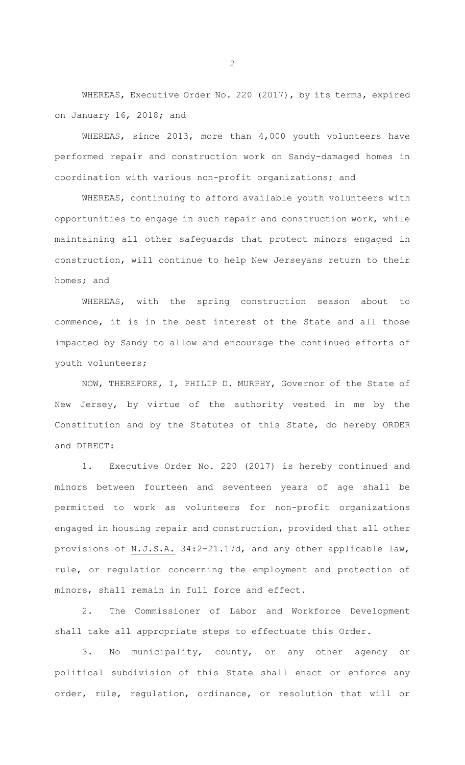WHEREAS, Executive Order No. 220 (2017), by its terms, expired on January 16, 2018; and

WHEREAS, since 2013, more than 4,000 youth volunteers have performed repair and construction work on Sandy-damaged homes in coordination with various non-profit organizations; and

WHEREAS, continuing to afford available youth volunteers with opportunities to engage in such repair and construction work, while maintaining all other safeguards that protect minors engaged in construction, will continue to help New Jerseyans return to their homes; and

WHEREAS, with the spring construction season about to commence, it is in the best interest of the State and all those impacted by Sandy to allow and encourage the continued efforts of youth volunteers;

NOW, THEREFORE, I, PHILIP D. MURPHY, Governor of the State of New Jersey, by virtue of the authority vested in me by the Constitution and by the Statutes of this State, do hereby ORDER and DIRECT:

1. Executive Order No. 220 (2017) is hereby continued and minors between fourteen and seventeen years of age shall be permitted to work as volunteers for non-profit organizations engaged in housing repair and construction, provided that all other provisions of N.J.S.A. 34:2-21.17d, and any other applicable law, rule, or regulation concerning the employment and protection of minors, shall remain in full force and effect.

2. The Commissioner of Labor and Workforce Development shall take all appropriate steps to effectuate this Order.

3. No municipality, county, or any other agency or political subdivision of this State shall enact or enforce any order, rule, regulation, ordinance, or resolution that will or

2